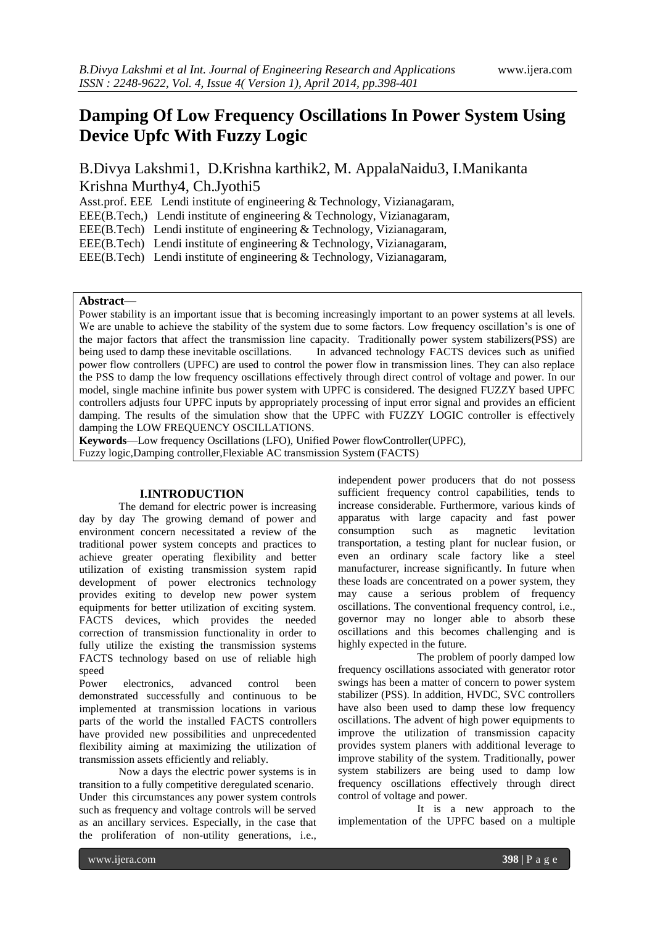# **Damping Of Low Frequency Oscillations In Power System Using Device Upfc With Fuzzy Logic**

B.Divya Lakshmi1, D.Krishna karthik2, M. AppalaNaidu3, I.Manikanta Krishna Murthy4, Ch.Jyothi5

Asst.prof. EEE Lendi institute of engineering & Technology, Vizianagaram,

EEE(B.Tech,) Lendi institute of engineering & Technology, Vizianagaram,

EEE(B.Tech) Lendi institute of engineering & Technology, Vizianagaram,

EEE(B.Tech) Lendi institute of engineering & Technology, Vizianagaram,

EEE(B.Tech) Lendi institute of engineering & Technology, Vizianagaram,

# **Abstract—**

Power stability is an important issue that is becoming increasingly important to an power systems at all levels. We are unable to achieve the stability of the system due to some factors. Low frequency oscillation's is one of the major factors that affect the transmission line capacity. Traditionally power system stabilizers(PSS) are being used to damp these inevitable oscillations. In advanced technology FACTS devices such as unified power flow controllers (UPFC) are used to control the power flow in transmission lines. They can also replace the PSS to damp the low frequency oscillations effectively through direct control of voltage and power. In our model, single machine infinite bus power system with UPFC is considered. The designed FUZZY based UPFC controllers adjusts four UPFC inputs by appropriately processing of input error signal and provides an efficient damping. The results of the simulation show that the UPFC with FUZZY LOGIC controller is effectively damping the LOW FREQUENCY OSCILLATIONS.

**Keywords**—Low frequency Oscillations (LFO), Unified Power flowController(UPFC),

Fuzzy logic,Damping controller,Flexiable AC transmission System (FACTS)

# **I.INTRODUCTION**

The demand for electric power is increasing day by day The growing demand of power and environment concern necessitated a review of the traditional power system concepts and practices to achieve greater operating flexibility and better utilization of existing transmission system rapid development of power electronics technology provides exiting to develop new power system equipments for better utilization of exciting system. FACTS devices, which provides the needed correction of transmission functionality in order to fully utilize the existing the transmission systems FACTS technology based on use of reliable high speed

Power electronics, advanced control been demonstrated successfully and continuous to be implemented at transmission locations in various parts of the world the installed FACTS controllers have provided new possibilities and unprecedented flexibility aiming at maximizing the utilization of transmission assets efficiently and reliably.

Now a days the electric power systems is in transition to a fully competitive deregulated scenario. Under this circumstances any power system controls such as frequency and voltage controls will be served as an ancillary services. Especially, in the case that the proliferation of non-utility generations, i.e.,

independent power producers that do not possess sufficient frequency control capabilities, tends to increase considerable. Furthermore, various kinds of apparatus with large capacity and fast power consumption such as magnetic levitation transportation, a testing plant for nuclear fusion, or even an ordinary scale factory like a steel manufacturer, increase significantly. In future when these loads are concentrated on a power system, they may cause a serious problem of frequency oscillations. The conventional frequency control, i.e., governor may no longer able to absorb these oscillations and this becomes challenging and is highly expected in the future.

The problem of poorly damped low frequency oscillations associated with generator rotor swings has been a matter of concern to power system stabilizer (PSS). In addition, HVDC, SVC controllers have also been used to damp these low frequency oscillations. The advent of high power equipments to improve the utilization of transmission capacity provides system planers with additional leverage to improve stability of the system. Traditionally, power system stabilizers are being used to damp low frequency oscillations effectively through direct control of voltage and power.

It is a new approach to the implementation of the UPFC based on a multiple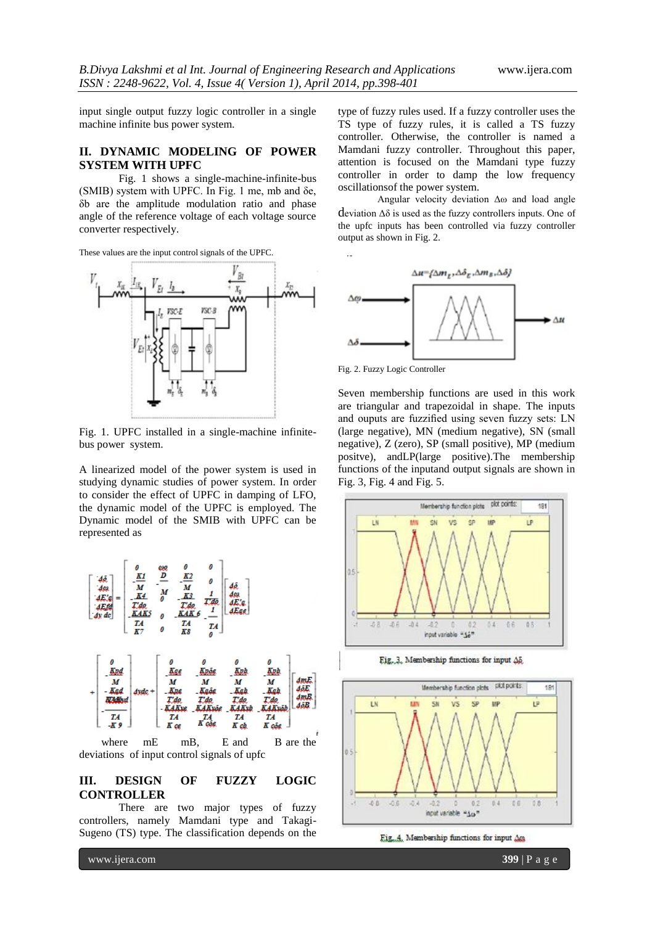input single output fuzzy logic controller in a single machine infinite bus power system.

## **II. DYNAMIC MODELING OF POWER SYSTEM WITH UPFC**

Fig. 1 shows a single-machine-infinite-bus (SMIB) system with UPFC. In Fig. 1 me, mb and δe, δb are the amplitude modulation ratio and phase angle of the reference voltage of each voltage source converter respectively.





Fig. 1. UPFC installed in a single-machine infinitebus power system.

A linearized model of the power system is used in studying dynamic studies of power system. In order to consider the effect of UPFC in damping of LFO, the dynamic model of the UPFC is employed. The Dynamic model of the SMIB with UPFC can be represented as



# **III. DESIGN OF FUZZY LOGIC CONTROLLER**

There are two major types of fuzzy controllers, namely Mamdani type and Takagi-Sugeno (TS) type. The classification depends on the

type of fuzzy rules used. If a fuzzy controller uses the TS type of fuzzy rules, it is called a TS fuzzy controller. Otherwise, the controller is named a Mamdani fuzzy controller. Throughout this paper, attention is focused on the Mamdani type fuzzy controller in order to damp the low frequency oscillationsof the power system.

Angular velocity deviation Δω and load angle deviation Δδ is used as the fuzzy controllers inputs. One of the upfc inputs has been controlled via fuzzy controller output as shown in Fig. 2.



Seven membership functions are used in this work are triangular and trapezoidal in shape. The inputs and ouputs are fuzzified using seven fuzzy sets: LN (large negative), MN (medium negative), SN (small negative), Z (zero), SP (small positive), MP (medium positve), andLP(large positive).The membership functions of the inputand output signals are shown in Fig. 3, Fig. 4 and Fig. 5.







Fig. 4. Membership functions for input Am

www.ijera.com **399** | P a g e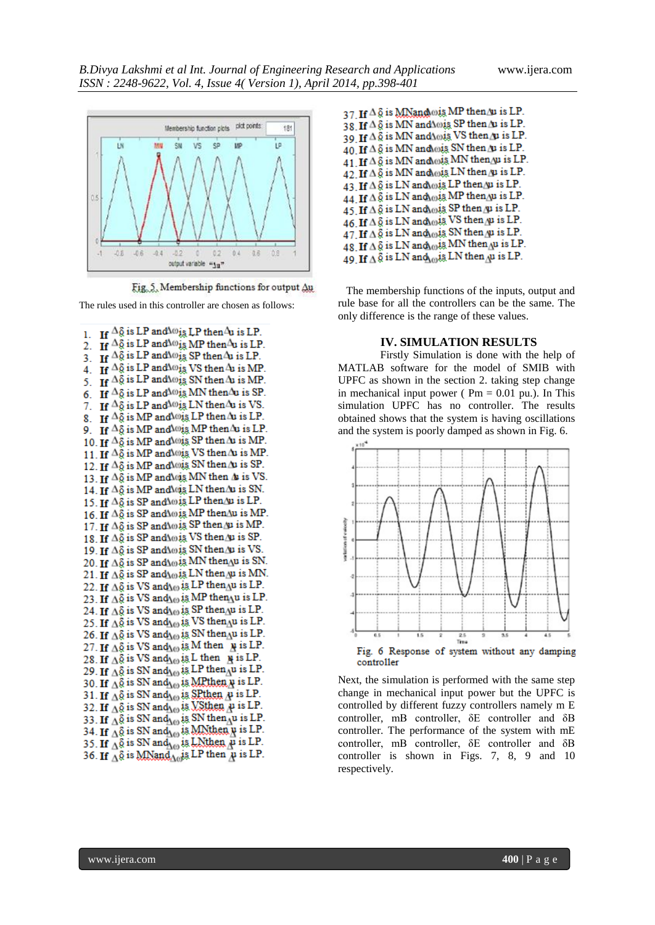

Fig. 5. Membership functions for output  $\Delta u$ 

The rules used in this controller are chosen as follows:

1. If  $\Delta \tilde{g}$  is LP and  $\omega_{\tilde{g}}$  LP then  $\Delta u$  is LP. 2. If  $\Delta \tilde{g}$  is LP and  $\omega_{is}$  MP then  $\Delta u$  is LP. 3. If  $\Delta \tilde{g}$  is LP and  $\omega_{\tilde{t}\tilde{g}}$  SP then  $\Delta u$  is LP. 4. If  $\Delta \tilde{g}$  is LP and  $\omega_{1\tilde{g}}$  VS then  $\Delta u$  is MP. 5. If  $\Delta \tilde{g}$  is LP and  $\omega_{\tilde{t}\tilde{g}}$  SN then  $\Delta u$  is MP. 6 If  $\Delta \delta$  is LP and  $\omega$  is MN then  $\Delta u$  is SP. 7. If  $\Delta \tilde{g}$  is LP and  $\omega$  is LN then  $\Delta u$  is VS. 8. If  $\Delta \tilde{g}$  is MP and  $\omega$  is LP then  $\Delta u$  is LP. 9. If  $\Delta \tilde{g}$  is MP and  $\omega$  is MP then  $\Delta u$  is LP. 10. If  $\Delta \tilde{g}$  is MP and ois SP then  $\Delta u$  is MP. 11. If  $\Delta \tilde{g}$  is MP and ois VS then  $\Delta u$  is MP. 12. If  $\Delta \tilde{g}$  is MP and lois SN then  $\Delta u$  is SP. 13. If  $\Delta \tilde{g}$  is MP and vis MN then  $\Delta$  is VS. 14. If  $\Delta \tilde{g}$  is MP and vis LN then  $\Delta u$  is SN. 15. If  $\Delta\tilde{g}$  is SP and \o, is LP then \u is LP. 16. If  $\Delta \tilde{g}$  is SP and \o is MP then \u is MP. 17. If  $\Delta \tilde{g}$  is SP and \o is SP then  $\Delta \mu$  is MP. 18. If  $\Delta \tilde{g}$  is SP and  $\Delta \omega$  is VS then  $\Delta u$  is SP. 19. If  $\Delta \tilde{\varrho}$  is SP and \o is SN then \u is VS. 20. If  $\Delta \tilde{\mathfrak{g}}$  is SP and  $\Delta \omega$  is MN then  $\Delta u$  is SN. 21. If  $\Delta \tilde{\S}$  is SP and  $\Delta \omega$  is LN then  $\Delta \mu$  is MN. 22. If  $\Delta \tilde{\varrho}$  is VS and  $\varrho_0$  is LP then  $\Lambda u$  is LP. 23. If  $\Delta\tilde{\S}$  is VS and  $\Delta\omega$  is MP then  $\Delta u$  is LP. 24. If  $\Delta\tilde{\varrho}$  is VS and  $\Delta\omega$  is SP then  $\Delta\omega$  is LP. 25. If  $\Delta\hat{\mathcal{Q}}$  is VS and  $\mathcal{Q}_0$  is VS then  $\mathcal{Q}_0$  is LP. 26. If  $\Delta\tilde{\theta}$  is VS and  $\Delta\omega$  is SN then  $\Delta u$  is LP. 27. If  $\Delta\tilde{\phi}$  is VS and  $\Lambda_{(0)}$  is M then  $\mu$  is LP. 28. If  $\Delta \tilde{\S}$  is VS and  $\Delta \omega$  is L then  $\gamma$  is LP. 29. If  $\Delta \hat{\phi}$  is SN and  $\Delta \omega$  is LP then  $\Delta \omega$  is LP. 30. If  $\Delta\tilde{\theta}$  is SN and  $\Delta\omega$  is MRthen  $\mu$  is LP. 31. If  $\Delta \hat{\varrho}$  is SN and  $\varrho_0$  is SP then  $\mu$  is LP. 32. If  $\Delta \tilde{\S}$  is SN and  $\Delta \omega$  is VSthen  $\mu$  is LP. 33. If  $\overrightarrow{\Delta\varnothing}$  is SN and  $\overrightarrow{\Delta\varnothing}$  is SN then  $\overrightarrow{\Delta}$ u is LP. 34. If  $\Delta\delta$  is SN and  $\Delta\omega$  is MNthen  $\mu$  is LP. 35. If  $\Lambda$ § is SN and  $\Lambda$  is LNthen  $\mu$  is LP. 36. If  $\Delta \hat{\theta}$  is MNand  $\Delta \theta$  is LP then  $\mu$  is LP.

37 If  $\Delta \tilde{g}$  is MNandois MP then/u is LP. 38 If  $\Delta \tilde{\delta}$  is MN and  $\Delta \omega$  is SP then  $\Delta u$  is LP. 39 If  $\Delta \tilde{\S}$  is MN and  $\Delta \omega$  is VS then  $\Delta \nu$  is LP. 40 If  $\Delta \tilde{\delta}$  is MN and  $\omega$  is SN then  $\Delta \nu$  is LP. 41. If  $\Delta \tilde{g}$  is MN and  $\omega$ is MN then  $\mu$  is LP. 42. If  $\Delta \tilde{\delta}$  is MN and wis LN then  $\mu$  is LP. 43. If  $\Delta \tilde{\mathfrak{g}}$  is LN and  $\omega$ is LP then  $\mu$  is LP. 44. If  $\Delta \tilde{\S}$  is LN and  $\omega$ is MP then  $\Delta \mu$  is LP.  $45.$  If  $\Delta \tilde{g}$  is LN and  $\omega$ is SP then  $\mu$  is LP. 46. If  $\Delta \tilde{g}$  is LN and  $\omega$  is VS then  $\mu$  is LP. 47. If  $\Delta \tilde{\phi}$  is LN and  $\omega$  is SN then  $\mu$  is LP. 48. If  $\Delta \hat{\S}$  is LN and  $\omega$  is MN then  $\Delta u$  is LP. 49 If  $\triangle$  & is LN and  $\triangle$  is LN then  $\triangle$  is LP.

 The membership functions of the inputs, output and rule base for all the controllers can be the same. The only difference is the range of these values.

#### **IV. SIMULATION RESULTS**

 Firstly Simulation is done with the help of MATLAB software for the model of SMIB with UPFC as shown in the section 2. taking step change in mechanical input power ( $Pm = 0.01$  pu.). In This simulation UPFC has no controller. The results obtained shows that the system is having oscillations and the system is poorly damped as shown in Fig. 6.



Next, the simulation is performed with the same step change in mechanical input power but the UPFC is controlled by different fuzzy controllers namely m E controller, mB controller, δE controller and δB controller. The performance of the system with mE controller, mB controller, δE controller and δB controller is shown in Figs. 7, 8, 9 and 10 respectively.